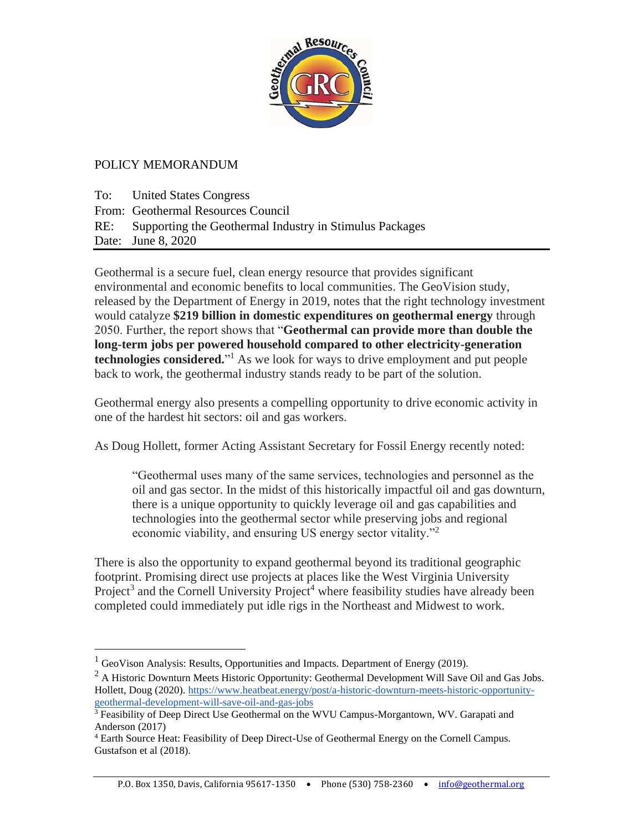

## POLICY MEMORANDUM

To: United States Congress From: Geothermal Resources Council RE: Supporting the Geothermal Industry in Stimulus Packages Date: June 8, 2020

Geothermal is a secure fuel, clean energy resource that provides significant environmental and economic benefits to local communities. The GeoVision study, released by the Department of Energy in 2019, notes that the right technology investment would catalyze **\$219 billion in domestic expenditures on geothermal energy** through 2050. Further, the report shows that "**Geothermal can provide more than double the long-term jobs per powered household compared to other electricity-generation technologies considered.**" <sup>1</sup> As we look for ways to drive employment and put people back to work, the geothermal industry stands ready to be part of the solution.

Geothermal energy also presents a compelling opportunity to drive economic activity in one of the hardest hit sectors: oil and gas workers.

As Doug Hollett, former Acting Assistant Secretary for Fossil Energy recently noted:

"Geothermal uses many of the same services, technologies and personnel as the oil and gas sector. In the midst of this historically impactful oil and gas downturn, there is a unique opportunity to quickly leverage oil and gas capabilities and technologies into the geothermal sector while preserving jobs and regional economic viability, and ensuring US energy sector vitality."<sup>2</sup>

There is also the opportunity to expand geothermal beyond its traditional geographic footprint. Promising direct use projects at places like the West Virginia University Project<sup>3</sup> and the Cornell University Project<sup>4</sup> where feasibility studies have already been completed could immediately put idle rigs in the Northeast and Midwest to work.

 $<sup>1</sup>$  GeoVison Analysis: Results, Opportunities and Impacts. Department of Energy (2019).</sup>

 $<sup>2</sup>$  A Historic Downturn Meets Historic Opportunity: Geothermal Development Will Save Oil and Gas Jobs.</sup> Hollett, Doug (2020). [https://www.heatbeat.energy/post/a-historic-downturn-meets-historic-opportunity](https://www.heatbeat.energy/post/a-historic-downturn-meets-historic-opportunity-geothermal-development-will-save-oil-and-gas-jobs)[geothermal-development-will-save-oil-and-gas-jobs](https://www.heatbeat.energy/post/a-historic-downturn-meets-historic-opportunity-geothermal-development-will-save-oil-and-gas-jobs)

 $\frac{3}{3}$  Feasibility of Deep Direct Use Geothermal on the WVU Campus-Morgantown, WV. Garapati and Anderson (2017)

<sup>4</sup> Earth Source Heat: Feasibility of Deep Direct-Use of Geothermal Energy on the Cornell Campus. Gustafson et al (2018).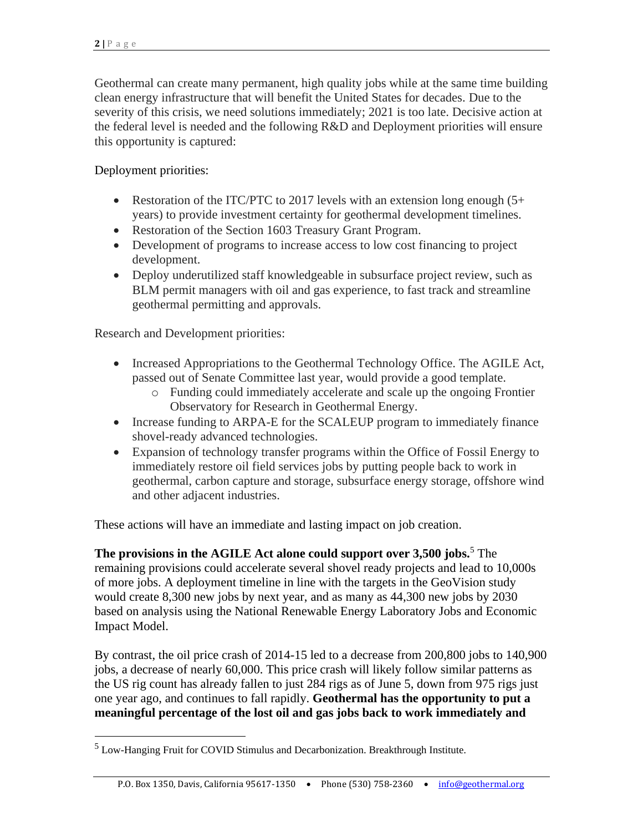Geothermal can create many permanent, high quality jobs while at the same time building clean energy infrastructure that will benefit the United States for decades. Due to the severity of this crisis, we need solutions immediately; 2021 is too late. Decisive action at the federal level is needed and the following R&D and Deployment priorities will ensure this opportunity is captured:

## Deployment priorities:

- Restoration of the ITC/PTC to 2017 levels with an extension long enough (5+ years) to provide investment certainty for geothermal development timelines.
- Restoration of the Section 1603 Treasury Grant Program.
- Development of programs to increase access to low cost financing to project development.
- Deploy underutilized staff knowledgeable in subsurface project review, such as BLM permit managers with oil and gas experience, to fast track and streamline geothermal permitting and approvals.

Research and Development priorities:

- Increased Appropriations to the Geothermal Technology Office. The [AGILE Act,](https://www.congress.gov/bill/116th-congress/senate-bill/2657/text?q=%7B%22search%22%3A%5B%22The+Advanced+Geothermal+Innovation+Leadership+%28AGILE%29+Act+of+2019%22%5D%7D&r=1&s=2) passed out of Senate Committee last year, would provide a good template.
	- o Funding could immediately accelerate and scale up the ongoing Frontier Observatory for Research in Geothermal Energy.
- Increase funding to ARPA-E for the SCALEUP program to immediately finance shovel-ready advanced technologies.
- Expansion of technology transfer programs within the Office of Fossil Energy to immediately restore oil field services jobs by putting people back to work in geothermal, carbon capture and storage, subsurface energy storage, offshore wind and other adjacent industries.

These actions will have an immediate and lasting impact on job creation.

**The provisions in the AGILE Act alone could support over 3,500 jobs.**<sup>5</sup> The remaining provisions could accelerate several shovel ready projects and lead to 10,000s of more jobs. A deployment timeline in line with the targets in the GeoVision study would create 8,300 new jobs by next year, and as many as 44,300 new jobs by 2030 based on analysis using the National Renewable Energy Laboratory Jobs and Economic Impact Model.

By contrast, the oil price crash of 2014-15 led to a decrease from 200,800 jobs to 140,900 jobs, a decrease of nearly 60,000. This price crash will likely follow similar patterns as the US rig count has already fallen to just 284 rigs as of June 5, down from 975 rigs just one year ago, and continues to fall rapidly. **Geothermal has the opportunity to put a meaningful percentage of the lost oil and gas jobs back to work immediately and** 

 $^5$  Low-Hanging Fruit for COVID Stimulus and Decarbonization. Breakthrough Institute.